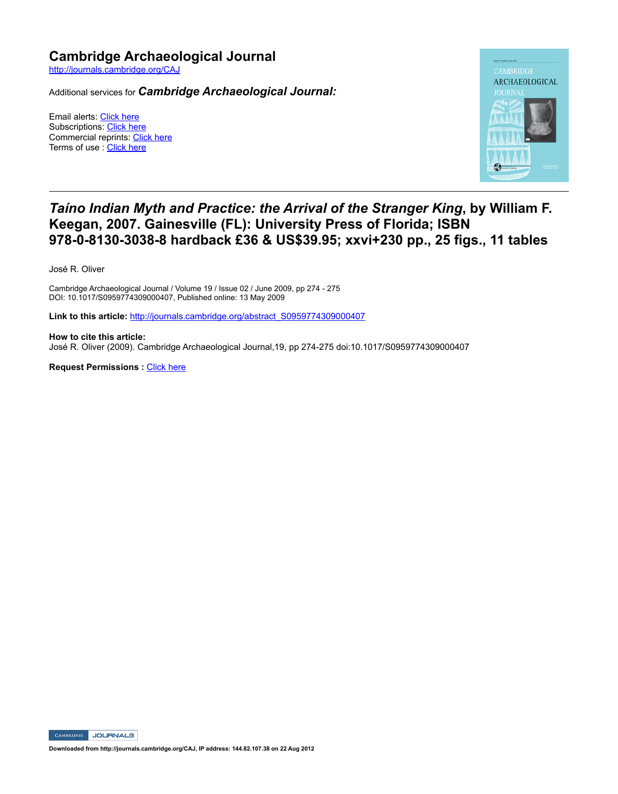## **Cambridge Archaeological Journal**

http://journals.cambridge.org/CAJ

Additional services for *Cambridge Archaeological Journal:*

Email alerts: Click here Subscriptions: Click here Commercial reprints: Click here Terms of use : Click here



## *Taíno Indian Myth and Practice: the Arrival of the Stranger King***, by William F. Keegan, 2007. Gainesville (FL): University Press of Florida; ISBN 9780813030388 hardback £36 & US\$39.95; xxvi+230 pp., 25 figs., 11 tables**

José R. Oliver

Cambridge Archaeological Journal / Volume 19 / Issue 02 / June 2009, pp 274 275 DOI: 10.1017/S0959774309000407, Published online: 13 May 2009

Link to this article: http://journals.cambridge.org/abstract\_S0959774309000407

**How to cite this article:** José R. Oliver (2009). Cambridge Archaeological Journal,19, pp 274275 doi:10.1017/S0959774309000407

**Request Permissions : Click here** 

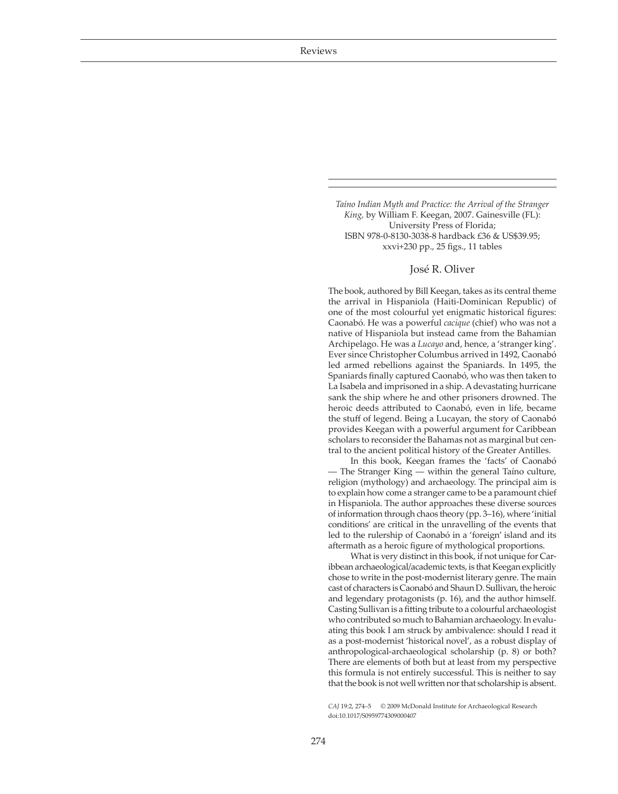*Taíno Indian Myth and Practice: the Arrival of the Stranger King,* by William F. Keegan, 2007. Gainesville (FL): University Press of Florida; ISBN 978-0-8130-3038-8 hardback £36 & US\$39.95; xxvi+230 pp., 25 figs., 11 tables

## José R. Oliver

The book, authored by Bill Keegan, takes as its central theme the arrival in Hispaniola (Haiti-Dominican Republic) of one of the most colourful yet enigmatic historical figures: Caonabó. He was a powerful *cacique* (chief) who was not a native of Hispaniola but instead came from the Bahamian Archipelago. He was a *Lucayo* and, hence, a 'stranger king'. Ever since Christopher Columbus arrived in 1492, Caonabó led armed rebellions against the Spaniards. In 1495, the Spaniards finally captured Caonabó, who was then taken to La Isabela and imprisoned in a ship. A devastating hurricane sank the ship where he and other prisoners drowned. The heroic deeds attributed to Caonabó, even in life, became the stuff of legend. Being a Lucayan, the story of Caonabó provides Keegan with a powerful argument for Caribbean scholars to reconsider the Bahamas not as marginal but central to the ancient political history of the Greater Antilles.

In this book, Keegan frames the 'facts' of Caonabó ― The Stranger King ― within the general Taíno culture, religion (mythology) and archaeology. The principal aim is to explain how come a stranger came to be a paramount chief in Hispaniola. The author approaches these diverse sources of information through chaos theory (pp. 3–16), where 'initial conditions' are critical in the unravelling of the events that led to the rulership of Caonabó in a 'foreign' island and its aftermath as a heroic figure of mythological proportions.

What is very distinct in this book, if not unique for Caribbean archaeological/academic texts, is that Keegan explicitly chose to write in the post-modernist literary genre. The main cast of characters is Caonabó and Shaun D. Sullivan, the heroic and legendary protagonists (p. 16), and the author himself. Casting Sullivan is a fitting tribute to a colourful archaeologist who contributed so much to Bahamian archaeology. In evaluating this book I am struck by ambivalence: should I read it as a post-modernist 'historical novel', as a robust display of anthropological-archaeological scholarship (p. 8) or both? There are elements of both but at least from my perspective this formula is not entirely successful. This is neither to say that the book is not well written nor that scholarship is absent.

*CAJ* 19:2, 274–5 © 2009 McDonald Institute for Archaeological Research doi:10.1017/S0959774309000407